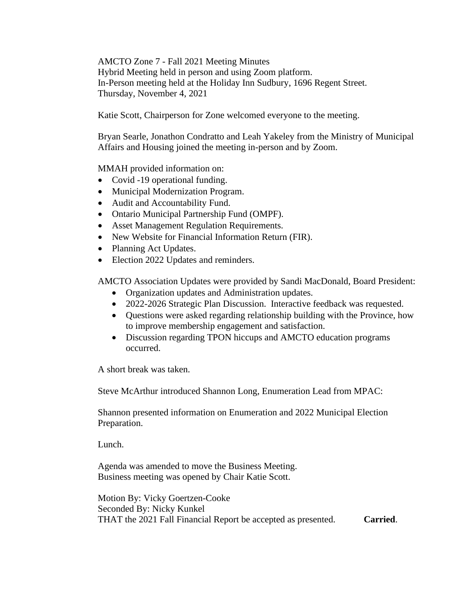AMCTO Zone 7 - Fall 2021 Meeting Minutes Hybrid Meeting held in person and using Zoom platform. In-Person meeting held at the Holiday Inn Sudbury, 1696 Regent Street. Thursday, November 4, 2021

Katie Scott, Chairperson for Zone welcomed everyone to the meeting.

Bryan Searle, Jonathon Condratto and Leah Yakeley from the Ministry of Municipal Affairs and Housing joined the meeting in-person and by Zoom.

MMAH provided information on:

- Covid -19 operational funding.
- Municipal Modernization Program.
- Audit and Accountability Fund.
- Ontario Municipal Partnership Fund (OMPF).
- Asset Management Regulation Requirements.
- New Website for Financial Information Return (FIR).
- Planning Act Updates.
- Election 2022 Updates and reminders.

AMCTO Association Updates were provided by Sandi MacDonald, Board President:

- Organization updates and Administration updates.
- 2022-2026 Strategic Plan Discussion. Interactive feedback was requested.
- Questions were asked regarding relationship building with the Province, how to improve membership engagement and satisfaction.
- Discussion regarding TPON hiccups and AMCTO education programs occurred.

A short break was taken.

Steve McArthur introduced Shannon Long, Enumeration Lead from MPAC:

Shannon presented information on Enumeration and 2022 Municipal Election Preparation.

Lunch.

Agenda was amended to move the Business Meeting. Business meeting was opened by Chair Katie Scott.

Motion By: Vicky Goertzen-Cooke Seconded By: Nicky Kunkel THAT the 2021 Fall Financial Report be accepted as presented. **Carried**.